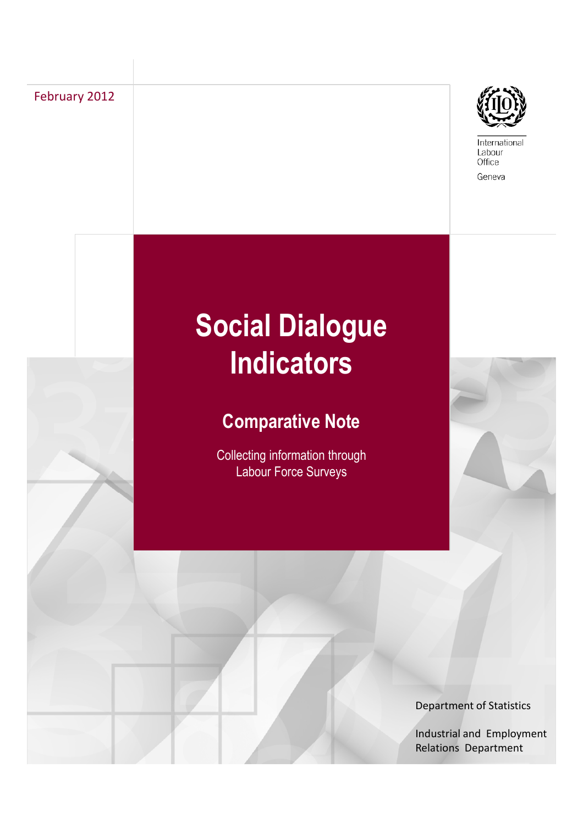February 2012



International Labour Office Geneva

# **Social Dialogue Indicators**

## **Comparative Note**

Collecting information through Labour Force Surveys



Department of Statistics

Industrial and Employment Relations Department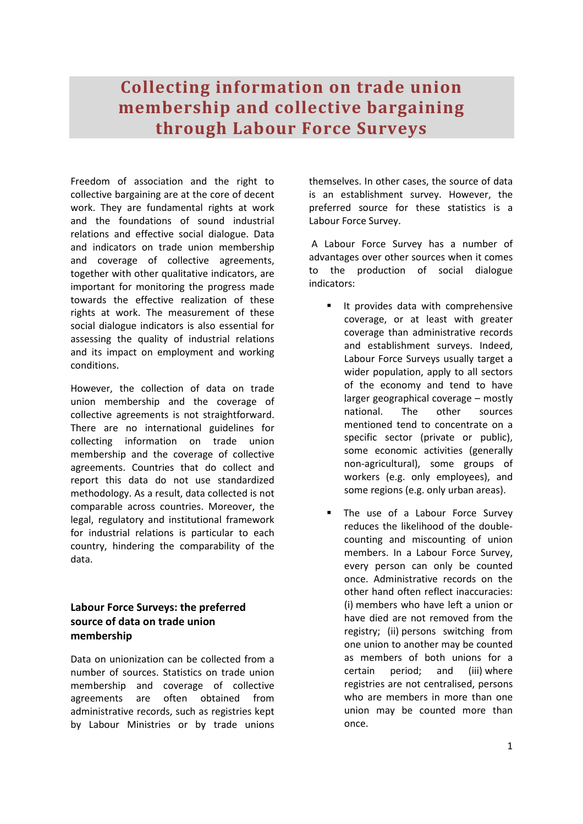## **Collecting information on trade union membership and collective bargaining through Labour Force Surveys**

Freedom of association and the right to collective bargaining are at the core of decent work. They are fundamental rights at work and the foundations of sound industrial relations and effective social dialogue. Data and indicators on trade union membership and coverage of collective agreements, together with other qualitative indicators, are important for monitoring the progress made towards the effective realization of these rights at work. The measurement of these social dialogue indicators is also essential for assessing the quality of industrial relations and its impact on employment and working conditions.

However, the collection of data on trade union membership and the coverage of collective agreements is not straightforward. There are no international guidelines for collecting information on trade union membership and the coverage of collective agreements. Countries that do collect and report this data do not use standardized methodology. As a result, data collected is not comparable across countries. Moreover, the legal, regulatory and institutional framework for industrial relations is particular to each country, hindering the comparability of the data.

#### **Labour Force Surveys: the preferred source of data on trade union membership**

Data on unionization can be collected from a number of sources. Statistics on trade union membership and coverage of collective agreements are often obtained from administrative records, such as registries kept by Labour Ministries or by trade unions

themselves. In other cases, the source of data is an establishment survey. However, the preferred source for these statistics is a Labour Force Survey.

 A Labour Force Survey has a number of advantages over other sources when it comes to the production of social dialogue indicators:

- **If provides data with comprehensive** coverage, or at least with greater coverage than administrative records and establishment surveys. Indeed, Labour Force Surveys usually target a wider population, apply to all sectors of the economy and tend to have larger geographical coverage – mostly national. The other sources mentioned tend to concentrate on a specific sector (private or public), some economic activities (generally non-agricultural), some groups of workers (e.g. only employees), and some regions (e.g. only urban areas).
- The use of a Labour Force Survey reduces the likelihood of the doublecounting and miscounting of union members. In a Labour Force Survey, every person can only be counted once. Administrative records on the other hand often reflect inaccuracies: (i) members who have left a union or have died are not removed from the registry; (ii) persons switching from one union to another may be counted as members of both unions for a certain period; and (iii) where registries are not centralised, persons who are members in more than one union may be counted more than once.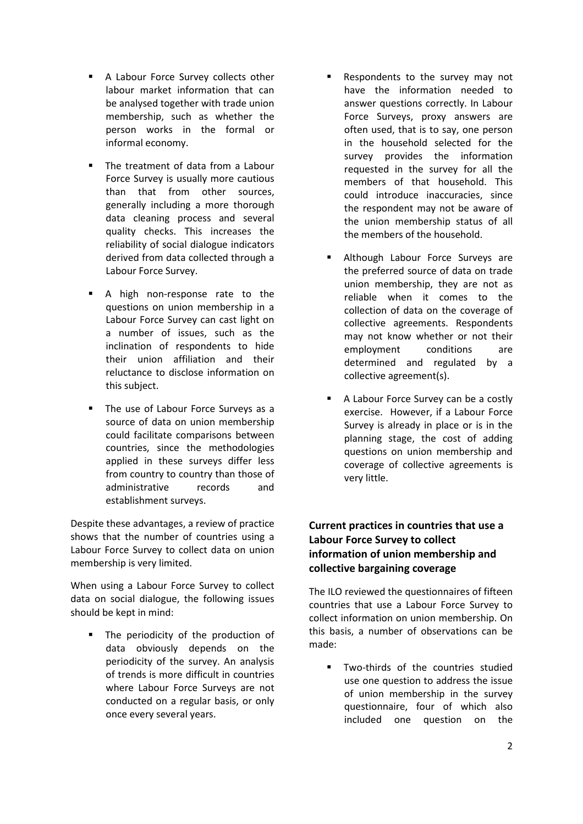- A Labour Force Survey collects other labour market information that can be analysed together with trade union membership, such as whether the person works in the formal or informal economy.
- The treatment of data from a Labour Force Survey is usually more cautious than that from other sources, generally including a more thorough data cleaning process and several quality checks. This increases the reliability of social dialogue indicators derived from data collected through a Labour Force Survey.
- A high non-response rate to the questions on union membership in a Labour Force Survey can cast light on a number of issues, such as the inclination of respondents to hide their union affiliation and their reluctance to disclose information on this subject.
- The use of Labour Force Surveys as a source of data on union membership could facilitate comparisons between countries, since the methodologies applied in these surveys differ less from country to country than those of administrative records and establishment surveys.

Despite these advantages, a review of practice shows that the number of countries using a Labour Force Survey to collect data on union membership is very limited.

When using a Labour Force Survey to collect data on social dialogue, the following issues should be kept in mind:

 The periodicity of the production of data obviously depends on the periodicity of the survey. An analysis of trends is more difficult in countries where Labour Force Surveys are not conducted on a regular basis, or only once every several years.

- Respondents to the survey may not have the information needed to answer questions correctly. In Labour Force Surveys, proxy answers are often used, that is to say, one person in the household selected for the survey provides the information requested in the survey for all the members of that household. This could introduce inaccuracies, since the respondent may not be aware of the union membership status of all the members of the household.
- Although Labour Force Surveys are the preferred source of data on trade union membership, they are not as reliable when it comes to the collection of data on the coverage of collective agreements. Respondents may not know whether or not their employment conditions are determined and regulated by a collective agreement(s).
- A Labour Force Survey can be a costly exercise. However, if a Labour Force Survey is already in place or is in the planning stage, the cost of adding questions on union membership and coverage of collective agreements is very little.

#### **Current practices in countries that use a Labour Force Survey to collect information of union membership and collective bargaining coverage**

The ILO reviewed the questionnaires of fifteen countries that use a Labour Force Survey to collect information on union membership. On this basis, a number of observations can be made:

**Two-thirds of the countries studied** use one question to address the issue of union membership in the survey questionnaire, four of which also included one question on the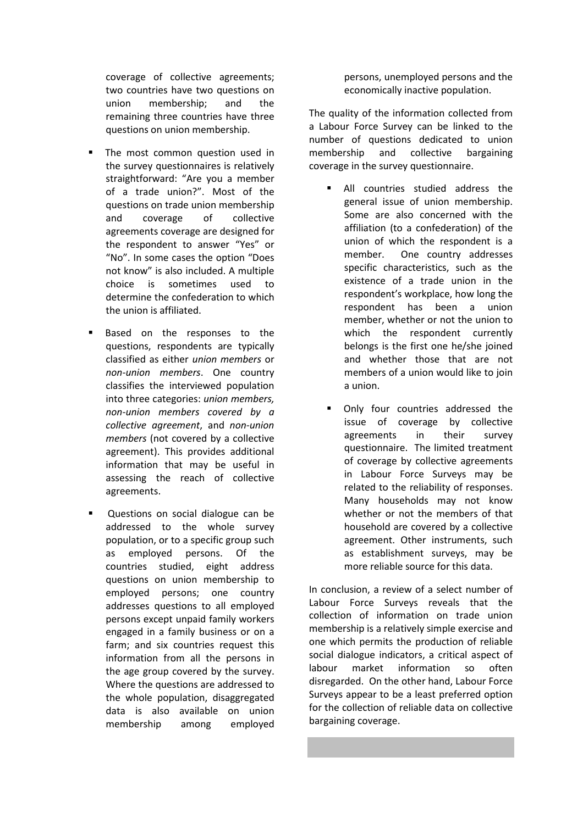coverage of collective agreements; two countries have two questions on union membership; and the remaining three countries have three questions on union membership.

- The most common question used in the survey questionnaires is relatively straightforward: "Are you a member of a trade union?". Most of the questions on trade union membership and coverage of collective agreements coverage are designed for the respondent to answer "Yes" or "No". In some cases the option "Does not know" is also included. A multiple choice is sometimes used to determine the confederation to which the union is affiliated.
- Based on the responses to the questions, respondents are typically classified as either *union members* or *non-union members*. One country classifies the interviewed population into three categories: *union members, non-union members covered by a collective agreement*, and *non-union members* (not covered by a collective agreement). This provides additional information that may be useful in assessing the reach of collective agreements.
- Questions on social dialogue can be addressed to the whole survey population, or to a specific group such as employed persons. Of the countries studied, eight address questions on union membership to employed persons; one country addresses questions to all employed persons except unpaid family workers engaged in a family business or on a farm; and six countries request this information from all the persons in the age group covered by the survey. Where the questions are addressed to the whole population, disaggregated data is also available on union membership among employed

persons, unemployed persons and the economically inactive population.

The quality of the information collected from a Labour Force Survey can be linked to the number of questions dedicated to union membership and collective bargaining coverage in the survey questionnaire.

- All countries studied address the general issue of union membership. Some are also concerned with the affiliation (to a confederation) of the union of which the respondent is a member. One country addresses specific characteristics, such as the existence of a trade union in the respondent's workplace, how long the respondent has been a union member, whether or not the union to which the respondent currently belongs is the first one he/she joined and whether those that are not members of a union would like to join a union.
- Only four countries addressed the issue of coverage by collective agreements in their survey questionnaire. The limited treatment of coverage by collective agreements in Labour Force Surveys may be related to the reliability of responses. Many households may not know whether or not the members of that household are covered by a collective agreement. Other instruments, such as establishment surveys, may be more reliable source for this data.

In conclusion, a review of a select number of Labour Force Surveys reveals that the collection of information on trade union membership is a relatively simple exercise and one which permits the production of reliable social dialogue indicators, a critical aspect of labour market information so often disregarded. On the other hand, Labour Force Surveys appear to be a least preferred option for the collection of reliable data on collective bargaining coverage.